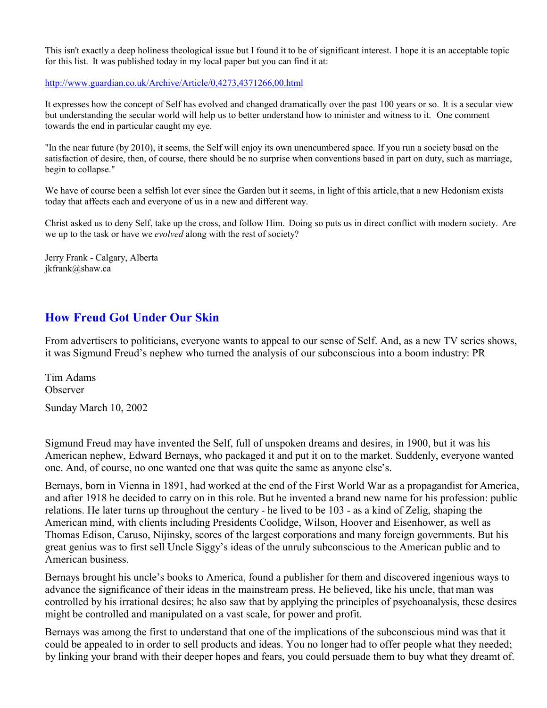This isn't exactly a deep holiness theological issue but I found it to be of significant interest. I hope it is an acceptable topic for this list. It was published today in my local paper but you can find it at:

## http://www.guardian.co.uk/Archive/Article/0,4273,4371266,00.html

It expresses how the concept of Self has evolved and changed dramatically over the past 100 years or so. It is a secular view but understanding the secular world will help us to better understand how to minister and witness to it. One comment towards the end in particular caught my eye.

"In the near future (by 2010), it seems, the Self will enjoy its own unencumbered space. If you run a society based on the satisfaction of desire, then, of course, there should be no surprise when conventions based in part on duty, such as marriage, begin to collapse."

We have of course been a selfish lot ever since the Garden but it seems, in light of this article, that a new Hedonism exists today that affects each and everyone of us in a new and different way.

Christ asked us to deny Self, take up the cross, and follow Him. Doing so puts us in direct conflict with modern society. Are we up to the task or have we *evolved* along with the rest of society?

Jerry Frank - Calgary, Alberta jkfrank@shaw.ca

## **How Freud Got Under Our Skin**

From advertisers to politicians, everyone wants to appeal to our sense of Self. And, as a new TV series shows, it was Sigmund Freud's nephew who turned the analysis of our subconscious into a boom industry: PR

Tim Adams Observer Sunday March 10, 2002

Sigmund Freud may have invented the Self, full of unspoken dreams and desires, in 1900, but it was his American nephew, Edward Bernays, who packaged it and put it on to the market. Suddenly, everyone wanted one. And, of course, no one wanted one that was quite the same as anyone else's.

Bernays, born in Vienna in 1891, had worked at the end of the First World War as a propagandist for America, and after 1918 he decided to carry on in this role. But he invented a brand new name for his profession: public relations. He later turns up throughout the century - he lived to be 103 - as a kind of Zelig, shaping the American mind, with clients including Presidents Coolidge, Wilson, Hoover and Eisenhower, as well as Thomas Edison, Caruso, Nijinsky, scores of the largest corporations and many foreign governments. But his great genius was to first sell Uncle Siggy's ideas of the unruly subconscious to the American public and to American business.

Bernays brought his uncle's books to America, found a publisher for them and discovered ingenious ways to advance the significance of their ideas in the mainstream press. He believed, like his uncle, that man was controlled by his irrational desires; he also saw that by applying the principles of psychoanalysis, these desires might be controlled and manipulated on a vast scale, for power and profit.

Bernays was among the first to understand that one of the implications of the subconscious mind was that it could be appealed to in order to sell products and ideas. You no longer had to offer people what they needed; by linking your brand with their deeper hopes and fears, you could persuade them to buy what they dreamt of.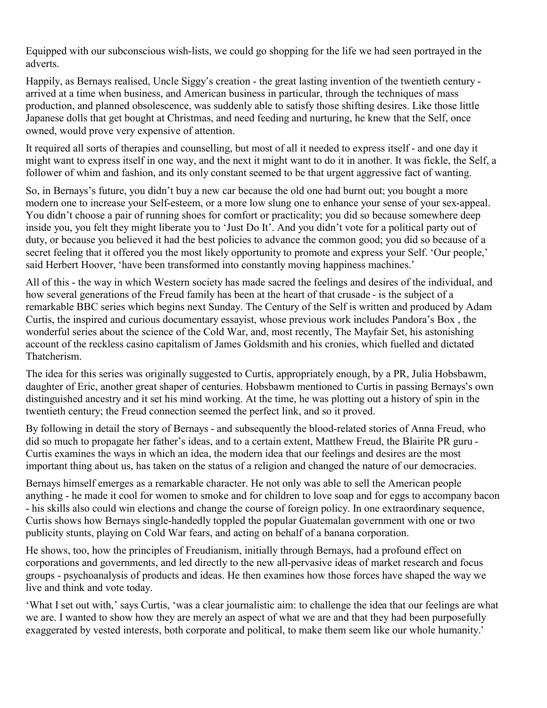Equipped with our subconscious wish-lists, we could go shopping for the life we had seen portrayed in the adverts.

Happily, as Bernays realised, Uncle Siggy's creation - the great lasting invention of the twentieth century arrived at a time when business, and American business in particular, through the techniques of mass production, and planned obsolescence, was suddenly able to satisfy those shifting desires. Like those little Japanese dolls that get bought at Christmas, and need feeding and nurturing, he knew that the Self, once owned, would prove very expensive of attention.

It required all sorts of therapies and counselling, but most of all it needed to express itself - and one day it might want to express itself in one way, and the next it might want to do it in another. It was fickle, the Self, a follower of whim and fashion, and its only constant seemed to be that urgent aggressive fact of wanting.

So, in Bernays's future, you didn't buy a new car because the old one had burnt out; you bought a more modern one to increase your Self-esteem, or a more low slung one to enhance your sense of your sex-appeal. You didn't choose a pair of running shoes for comfort or practicality; you did so because somewhere deep inside you, you felt they might liberate you to 'Just Do It'. And you didn't vote for a political party out of duty, or because you believed it had the best policies to advance the common good; you did so because of a secret feeling that it offered you the most likely opportunity to promote and express your Self. 'Our people,' said Herbert Hoover, 'have been transformed into constantly moving happiness machines.'

All of this - the way in which Western society has made sacred the feelings and desires of the individual, and how several generations of the Freud family has been at the heart of that crusade - is the subject of a remarkable BBC series which begins next Sunday. The Century of the Self is written and produced by Adam Curtis, the inspired and curious documentary essayist, whose previous work includes Pandora's Box , the wonderful series about the science of the Cold War, and, most recently, The Mayfair Set, his astonishing account of the reckless casino capitalism of James Goldsmith and his cronies, which fuelled and dictated Thatcherism.

The idea for this series was originally suggested to Curtis, appropriately enough, by a PR, Julia Hobsbawm, daughter of Eric, another great shaper of centuries. Hobsbawm mentioned to Curtis in passing Bernays's own distinguished ancestry and it set his mind working. At the time, he was plotting out a history of spin in the twentieth century; the Freud connection seemed the perfect link, and so it proved.

By following in detail the story of Bernays - and subsequently the blood-related stories of Anna Freud, who did so much to propagate her father's ideas, and to a certain extent, Matthew Freud, the Blairite PR guru - Curtis examines the ways in which an idea, the modern idea that our feelings and desires are the most important thing about us, has taken on the status of a religion and changed the nature of our democracies.

Bernays himself emerges as a remarkable character. He not only was able to sell the American people anything - he made it cool for women to smoke and for children to love soap and for eggs to accompany bacon - his skills also could win elections and change the course of foreign policy. In one extraordinary sequence, Curtis shows how Bernays single-handedly toppled the popular Guatemalan government with one or two publicity stunts, playing on Cold War fears, and acting on behalf of a banana corporation.

He shows, too, how the principles of Freudianism, initially through Bernays, had a profound effect on corporations and governments, and led directly to the new all-pervasive ideas of market research and focus groups - psychoanalysis of products and ideas. He then examines how those forces have shaped the way we live and think and vote today.

'What I set out with,' says Curtis, 'was a clear journalistic aim: to challenge the idea that our feelings are what we are. I wanted to show how they are merely an aspect of what we are and that they had been purposefully exaggerated by vested interests, both corporate and political, to make them seem like our whole humanity.'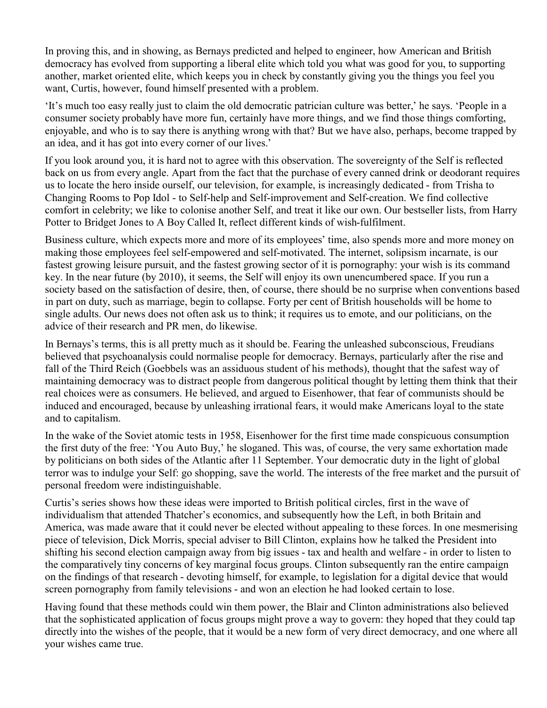In proving this, and in showing, as Bernays predicted and helped to engineer, how American and British democracy has evolved from supporting a liberal elite which told you what was good for you, to supporting another, market oriented elite, which keeps you in check by constantly giving you the things you feel you want, Curtis, however, found himself presented with a problem.

'It's much too easy really just to claim the old democratic patrician culture was better,' he says. 'People in a consumer society probably have more fun, certainly have more things, and we find those things comforting, enjoyable, and who is to say there is anything wrong with that? But we have also, perhaps, become trapped by an idea, and it has got into every corner of our lives.'

If you look around you, it is hard not to agree with this observation. The sovereignty of the Self is reflected back on us from every angle. Apart from the fact that the purchase of every canned drink or deodorant requires us to locate the hero inside ourself, our television, for example, is increasingly dedicated - from Trisha to Changing Rooms to Pop Idol - to Self-help and Self-improvement and Self-creation. We find collective comfort in celebrity; we like to colonise another Self, and treat it like our own. Our bestseller lists, from Harry Potter to Bridget Jones to A Boy Called It, reflect different kinds of wish-fulfilment.

Business culture, which expects more and more of its employees' time, also spends more and more money on making those employees feel self-empowered and self-motivated. The internet, solipsism incarnate, is our fastest growing leisure pursuit, and the fastest growing sector of it is pornography: your wish is its command key. In the near future (by 2010), it seems, the Self will enjoy its own unencumbered space. If you run a society based on the satisfaction of desire, then, of course, there should be no surprise when conventions based in part on duty, such as marriage, begin to collapse. Forty per cent of British households will be home to single adults. Our news does not often ask us to think; it requires us to emote, and our politicians, on the advice of their research and PR men, do likewise.

In Bernays's terms, this is all pretty much as it should be. Fearing the unleashed subconscious, Freudians believed that psychoanalysis could normalise people for democracy. Bernays, particularly after the rise and fall of the Third Reich (Goebbels was an assiduous student of his methods), thought that the safest way of maintaining democracy was to distract people from dangerous political thought by letting them think that their real choices were as consumers. He believed, and argued to Eisenhower, that fear of communists should be induced and encouraged, because by unleashing irrational fears, it would make Americans loyal to the state and to capitalism.

In the wake of the Soviet atomic tests in 1958, Eisenhower for the first time made conspicuous consumption the first duty of the free: 'You Auto Buy,' he sloganed. This was, of course, the very same exhortation made by politicians on both sides of the Atlantic after 11 September. Your democratic duty in the light of global terror was to indulge your Self: go shopping, save the world. The interests of the free market and the pursuit of personal freedom were indistinguishable.

Curtis's series shows how these ideas were imported to British political circles, first in the wave of individualism that attended Thatcher's economics, and subsequently how the Left, in both Britain and America, was made aware that it could never be elected without appealing to these forces. In one mesmerising piece of television, Dick Morris, special adviser to Bill Clinton, explains how he talked the President into shifting his second election campaign away from big issues - tax and health and welfare - in order to listen to the comparatively tiny concerns of key marginal focus groups. Clinton subsequently ran the entire campaign on the findings of that research - devoting himself, for example, to legislation for a digital device that would screen pornography from family televisions - and won an election he had looked certain to lose.

Having found that these methods could win them power, the Blair and Clinton administrations also believed that the sophisticated application of focus groups might prove a way to govern: they hoped that they could tap directly into the wishes of the people, that it would be a new form of very direct democracy, and one where all your wishes came true.